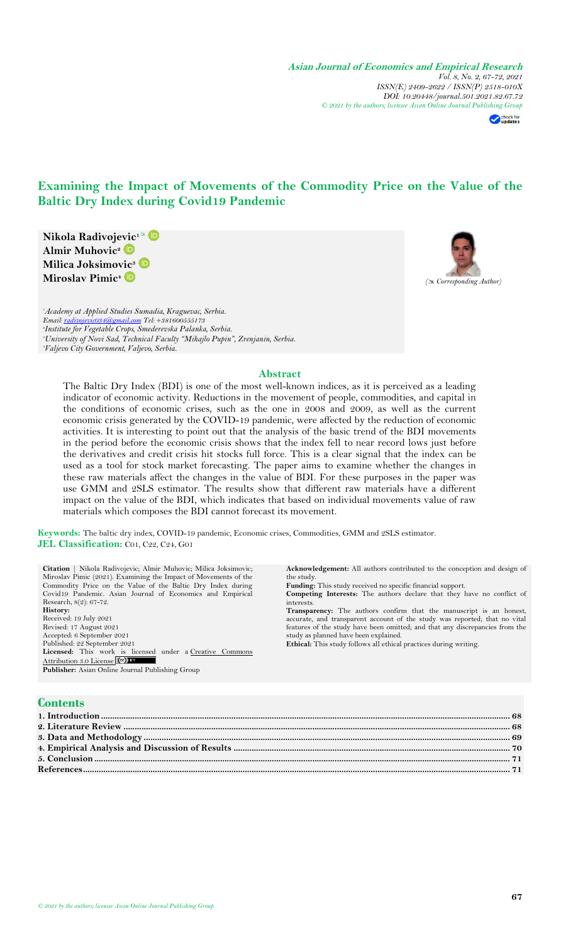**Asian Journal of Economics and Empirical Research** *Vol. 8, No. 2, 67-72, 2021 ISSN(E) 2409-2622 / ISSN(P) 2518-010X DOI: 10.20448/journal.501.2021.82.67.72 © 2021 by the authors; licensee Asian Online Journal Publishing Group*

**Acknowledgement:** All authors contributed to the conception and design of

check for

# **Examining the Impact of Movements of the Commodity Price on the Value of the Baltic Dry Index during Covid19 Pandemic**

**Nikola Radivojevic<sup>1</sup>** **Almir Muhovic<sup>2</sup> Milica Joksimovic<sup>3</sup> Miroslav Pimic<sup>4</sup>**



*Academy at Applied Studies Sumadia, Kraguevac, Serbia. Email[: radivojevic034@gmail.com](mailto:radivojevic034@gmail.com) Tel: +381600555173 Institute for Vegetable Crops, Smederevska Palanka, Serbia. University of Novi Sad, Technical Faculty "Mihajlo Pupin", Zrenjanin, Serbia.*

**Citation** | Nikola Radivojevic; Almir Muhovic; Milica Joksimovic;

# *<sup>4</sup>Valjevo City Government, Valjevo, Serbia.*

#### **Abstract**

The Baltic Dry Index (BDI) is one of the most well-known indices, as it is perceived as a leading indicator of economic activity. Reductions in the movement of people, commodities, and capital in the conditions of economic crises, such as the one in 2008 and 2009, as well as the current economic crisis generated by the COVID-19 pandemic, were affected by the reduction of economic activities. It is interesting to point out that the analysis of the basic trend of the BDI movements in the period before the economic crisis shows that the index fell to near record lows just before the derivatives and credit crisis hit stocks full force. This is a clear signal that the index can be used as a tool for stock market forecasting. The paper aims to examine whether the changes in these raw materials affect the changes in the value of BDI. For these purposes in the paper was use GMM and 2SLS estimator. The results show that different raw materials have a different impact on the value of the BDI, which indicates that based on individual movements value of raw materials which composes the BDI cannot forecast its movement.

**Keywords:** The baltic dry index, COVID-19 pandemic, Economic crises, Commodities, GMM and 2SLS estimator. **JEL Classification:** C01, C22, C24, G01

| <b>ACKHOWIEGGEMENT:</b> All authors contributed to the conception and design of |
|---------------------------------------------------------------------------------|
| the study.                                                                      |
| <b>Funding:</b> This study received no specific financial support.              |
| Competing Interests: The authors declare that they have no conflict of          |
| interests.                                                                      |
| Transparency: The authors confirm that the manuscript is an honest,             |
| accurate, and transparent account of the study was reported; that no vital      |
| features of the study have been omitted; and that any discrepancies from the    |
| study as planned have been explained.                                           |
| <b>Ethical:</b> This study follows all ethical practices during writing.        |
|                                                                                 |
|                                                                                 |
|                                                                                 |
|                                                                                 |
|                                                                                 |
|                                                                                 |
|                                                                                 |
|                                                                                 |
|                                                                                 |
|                                                                                 |
|                                                                                 |

**5. Conclusion [.........................................................................................................................................................................................](#page-4-0) 71 [References..............................................................................................................................................................................................](#page-4-1) 71**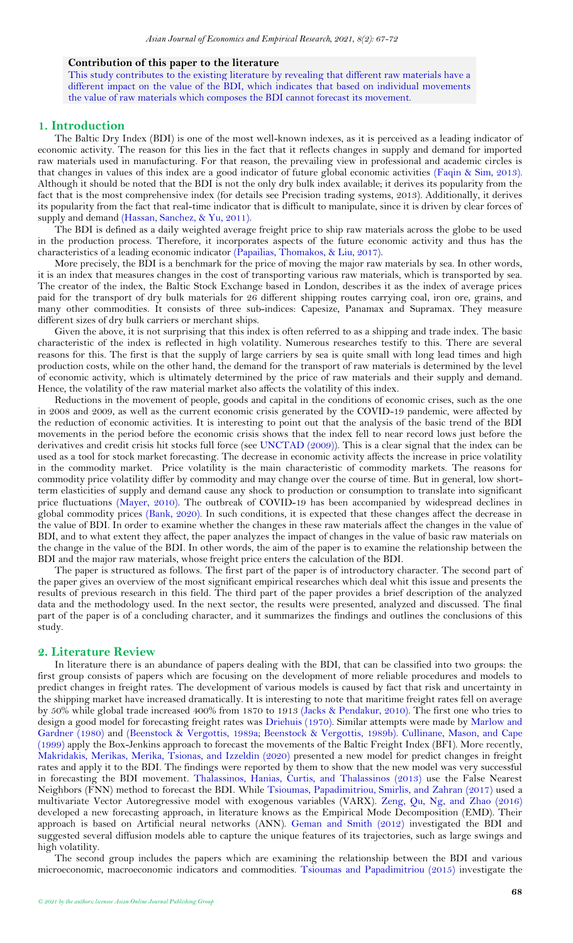#### **Contribution of this paper to the literature**

This study contributes to the existing literature by revealing that different raw materials have a different impact on the value of the BDI, which indicates that based on individual movements the value of raw materials which composes the BDI cannot forecast its movement.

### <span id="page-1-0"></span>**1. Introduction**

The Baltic Dry Index (BDI) is one of the most well-known indexes, as it is perceived as a leading indicator of economic activity. The reason for this lies in the fact that it reflects changes in supply and demand for imported raw materials used in manufacturing. For that reason, the prevailing view in professional and academic circles is that changes in values of this index are a good indicator of future global economic activities [\(Faqin & Sim, 2013\)](#page-4-2). Although it should be noted that the BDI is not the only dry bulk index available; it derives its popularity from the fact that is the most comprehensive index (for details see Precision trading systems, 2013). Additionally, it derives its popularity from the fact that real-time indicator that is difficult to manipulate, since it is driven by clear forces of supply and demand [\(Hassan, Sanchez, & Yu, 2011\)](#page-4-3).

The BDI is defined as a daily weighted average freight price to ship raw materials across the globe to be used in the production process. Therefore, it incorporates aspects of the future economic activity and thus has the characteristics of a leading economic indicator [\(Papailias, Thomakos, & Liu, 2017\)](#page-5-0).

More precisely, the BDI is a benchmark for the price of moving the major raw materials by sea. In other words, it is an index that measures changes in the cost of transporting various raw materials, which is transported by sea. The creator of the index, the Baltic Stock Exchange based in London, describes it as the index of average prices paid for the transport of dry bulk materials for 26 different shipping routes carrying coal, iron ore, grains, and many other commodities. It consists of three sub-indices: Capesize, Panamax and Supramax. They measure different sizes of dry bulk carriers or merchant ships.

Given the above, it is not surprising that this index is often referred to as a shipping and trade index. The basic characteristic of the index is reflected in high volatility. Numerous researches testify to this. There are several reasons for this. The first is that the supply of large carriers by sea is quite small with long lead times and high production costs, while on the other hand, the demand for the transport of raw materials is determined by the level of economic activity, which is ultimately determined by the price of raw materials and their supply and demand. Hence, the volatility of the raw material market also affects the volatility of this index.

Reductions in the movement of people, goods and capital in the conditions of economic crises, such as the one in 2008 and 2009, as well as the current economic crisis generated by the COVID-19 pandemic, were affected by the reduction of economic activities. It is interesting to point out that the analysis of the basic trend of the BDI movements in the period before the economic crisis shows that the index fell to near record lows just before the derivatives and credit crisis hit stocks full force (see [UNCTAD \(2009\)](#page-5-1)). This is a clear signal that the index can be used as a tool for stock market forecasting. The decrease in economic activity affects the increase in price volatility in the commodity market. Price volatility is the main characteristic of commodity markets. The reasons for commodity price volatility differ by commodity and may change over the course of time. But in general, low shortterm elasticities of supply and demand cause any shock to production or consumption to translate into significant price fluctuations [\(Mayer, 2010\)](#page-5-2). The outbreak of COVID-19 has been accompanied by widespread declines in global commodity prices [\(Bank, 2020\)](#page-4-4). In such conditions, it is expected that these changes affect the decrease in the value of BDI. In order to examine whether the changes in these raw materials affect the changes in the value of BDI, and to what extent they affect, the paper analyzes the impact of changes in the value of basic raw materials on the change in the value of the BDI. In other words, the aim of the paper is to examine the relationship between the BDI and the major raw materials, whose freight price enters the calculation of the BDI.

The paper is structured as follows. The first part of the paper is of introductory character. The second part of the paper gives an overview of the most significant empirical researches which deal whit this issue and presents the results of previous research in this field. The third part of the paper provides a brief description of the analyzed data and the methodology used. In the next sector, the results were presented, analyzed and discussed. The final part of the paper is of a concluding character, and it summarizes the findings and outlines the conclusions of this study.

#### <span id="page-1-1"></span>**2. Literature Review**

In literature there is an abundance of papers dealing with the BDI, that can be classified into two groups: the first group consists of papers which are focusing on the development of more reliable procedures and models to predict changes in freight rates. The development of various models is caused by fact that risk and uncertainty in the shipping market have increased dramatically. It is interesting to note that maritime freight rates fell on average by 50% while global trade increased 400% from 1870 to 1913 [\(Jacks & Pendakur, 2010\)](#page-5-3). The first one who tries to design a good model for forecasting freight rates was [Driehuis \(1970\)](#page-4-5). Similar attempts were made by [Marlow and](#page-5-4)  [Gardner \(1980\)](#page-5-4) and [\(Beenstock & Vergottis, 1989a;](#page-4-6) [Beenstock & Vergottis, 1989b\)](#page-4-7). [Cullinane, Mason, and Cape](#page-4-8)  [\(1999\)](#page-4-8) apply the Box-Jenkins approach to forecast the movements of the Baltic Freight Index (BFI). More recently, [Makridakis, Merikas, Merika, Tsionas, and Izzeldin \(2020\)](#page-5-5) presented a new model for predict changes in freight rates and apply it to the BDI. The findings were reported by them to show that the new model was very successful in forecasting the BDI movement. [Thalassinos, Hanias, Curtis, and Thalassinos \(2013\)](#page-5-6) use the False Nearest Neighbors (FNN) method to forecast the BDI. While [Tsioumas, Papadimitriou, Smirlis, and Zahran \(2017\)](#page-5-7) used a multivariate Vector Autoregressive model with exogenous variables (VARX). [Zeng, Qu, Ng, and Zhao \(2016\)](#page-5-8) developed a new forecasting approach, in literature knows as the Empirical Mode Decomposition (EMD). Their approach is based on Artificial neural networks (ANN). [Geman and Smith \(2012\)](#page-4-9) investigated the BDI and suggested several diffusion models able to capture the unique features of its trajectories, such as large swings and high volatility.

The second group includes the papers which are examining the relationship between the BDI and various microeconomic, macroeconomic indicators and commodities. [Tsioumas and Papadimitriou \(2015\)](#page-5-9) investigate the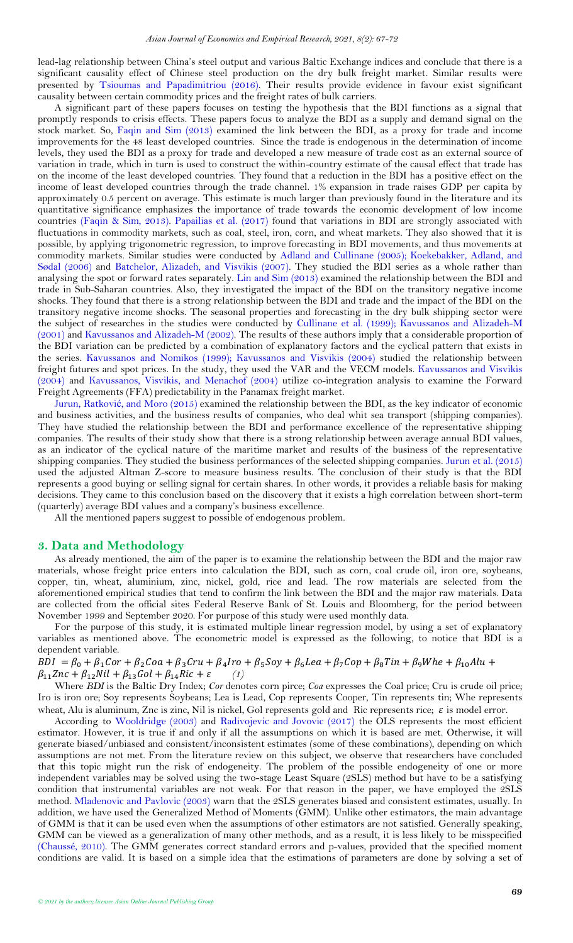lead-lag relationship between China's steel output and various Baltic Exchange indices and conclude that there is a significant causality effect of Chinese steel production on the dry bulk freight market. Similar results were presented by Tsioumas [and Papadimitriou \(2016\)](#page-5-10). Their results provide evidence in favour exist significant causality between certain commodity prices and the freight rates of bulk carriers.

A significant part of these papers focuses on testing the hypothesis that the BDI functions as a signal that promptly responds to crisis effects. These papers focus to analyze the BDI as a supply and demand signal on the stock market. So, [Faqin and Sim \(2013\)](#page-4-2) examined the link between the BDI, as a proxy for trade and income improvements for the 48 least developed countries. Since the trade is endogenous in the determination of income levels, they used the BDI as a proxy for trade and developed a new measure of trade cost as an external source of variation in trade, which in turn is used to construct the within-country estimate of the causal effect that trade has on the income of the least developed countries. They found that a reduction in the BDI has a positive effect on the income of least developed countries through the trade channel. 1% expansion in trade raises GDP per capita by approximately 0.5 percent on average. This estimate is much larger than previously found in the literature and its quantitative significance emphasizes the importance of trade towards the economic development of low income countries [\(Faqin & Sim, 2013\)](#page-4-2). [Papailias et al. \(2017\)](#page-5-0) found that variations in BDI are strongly associated with fluctuations in commodity markets, such as coal, steel, iron, corn, and wheat markets. They also showed that it is possible, by applying trigonometric regression, to improve forecasting in BDI movements, and thus movements at commodity markets. Similar studies were conducted by [Adland and Cullinane \(2005\)](#page-4-10); [Koekebakker, Adland, and](#page-5-11)  [Sødal \(2006\)](#page-5-11) and [Batchelor, Alizadeh, and Visvikis \(2007\)](#page-4-11). They studied the BDI series as a whole rather than analysing the spot or forward rates separately. [Lin and Sim \(2013\)](#page-5-12) examined the relationship between the BDI and trade in Sub-Saharan countries. Also, they investigated the impact of the BDI on the transitory negative income shocks. They found that there is a strong relationship between the BDI and trade and the impact of the BDI on the transitory negative income shocks. The seasonal properties and forecasting in the dry bulk shipping sector were the subject of researches in the studies were conducted by [Cullinane et al. \(1999\)](#page-4-8); Kavussanos [and Alizadeh-M](#page-5-13)  [\(2001\)](#page-5-13) and Kavussanos [and Alizadeh-M \(2002\)](#page-5-14). The results of these authors imply that a considerable proportion of the BDI variation can be predicted by a combination of explanatory factors and the cyclical pattern that exists in the series. [Kavussanos and Nomikos \(1999\)](#page-5-15); Kavussanos [and Visvikis \(2004\)](#page-5-16) studied the relationship between freight futures and spot prices. In the study, they used the VAR and the VECM models. Kavussanos [and Visvikis](#page-5-16)  [\(2004\)](#page-5-16) and [Kavussanos, Visvikis, and Menachof \(2004\)](#page-5-17) utilize co-integration analysis to examine the Forward Freight Agreements (FFA) predictability in the Panamax freight market.

Jurun, Ratković[, and Moro \(2015\)](#page-5-18) examined the relationship between the BDI, as the key indicator of economic and business activities, and the business results of companies, who deal whit sea transport (shipping companies). They have studied the relationship between the BDI and performance excellence of the representative shipping companies. The results of their study show that there is a strong relationship between average annual BDI values, as an indicator of the cyclical nature of the maritime market and results of the business of the representative shipping companies. They studied the business performances of the selected shipping companies. [Jurun et al. \(2015\)](#page-5-18) used the adjusted Altman Z-score to measure business results. The conclusion of their study is that the BDI represents a good buying or selling signal for certain shares. In other words, it provides a reliable basis for making decisions. They came to this conclusion based on the discovery that it exists a high correlation between short-term (quarterly) average BDI values and a company's business excellence.

All the mentioned papers suggest to possible of endogenous problem.

## <span id="page-2-0"></span>**3. Data and Methodology**

As already mentioned, the aim of the paper is to examine the relationship between the BDI and the major raw materials, whose freight price enters into calculation the BDI, such as corn, coal crude oil, iron ore, soybeans, copper, tin, wheat, aluminium, zinc, nickel, gold, rice and lead. The row materials are selected from the aforementioned empirical studies that tend to confirm the link between the BDI and the major raw materials. Data are collected from the official sites Federal Reserve Bank of St. Louis and Bloomberg, for the period between November 1999 and September 2020. For purpose of this study were used monthly data.

For the purpose of this study, it is estimated multiple linear regression model, by using a set of explanatory variables as mentioned above. The econometric model is expressed as the following, to notice that BDI is a dependent variable.

 $BDI = \beta_0 + \beta_1 Cor + \beta_2 Coa + \beta_3 Cru + \beta_4 Iro + \beta_5 Soy + \beta_6 Lea + \beta_7 Cop + \beta_8 Tin + \beta_9 Whe + \beta_{10} Alu +$  $\beta_{11} Znc + \beta_{12} Nil + \beta_{13} Gol + \beta_{14} Ric + \varepsilon$  (1)

Where *BDI* is the Baltic Dry Index; *Cor* denotes corn pirce; *Coa* expresses the Coal price; Cru is crude oil price; Iro is iron ore; Soy represents Soybeans; Lea is Lead, Cop represents Cooper, Tin represents tin; Whe represents wheat, Alu is aluminum, Znc is zinc, Nil is nickel, Gol represents gold and Ric represents rice;  $\varepsilon$  is model error.

According to [Wooldridge \(2003\)](#page-5-19) and [Radivojevic and Jovovic \(2017\)](#page-5-20) the OLS represents the most efficient estimator. However, it is true if and only if all the assumptions on which it is based are met. Otherwise, it will generate biased/unbiased and consistent/inconsistent estimates (some of these combinations), depending on which assumptions are not met. From the literature review on this subject, we observe that researchers have concluded that this topic might run the risk of endogeneity. The problem of the possible endogeneity of one or more independent variables may be solved using the two-stage Least Square (2SLS) method but have to be a satisfying condition that instrumental variables are not weak. For that reason in the paper, we have employed the 2SLS method. [Mladenovic and Pavlovic \(2003\)](#page-5-21) warn that the 2SLS generates biased and consistent estimates, usually. In addition, we have used the Generalized Method of Moments (GMM). Unlike other estimators, the main advantage of GMM is that it can be used even when the assumptions of other estimators are not satisfied. Generally speaking, GMM can be viewed as a generalization of many other methods, and as a result, it is less likely to be misspecified [\(Chaussé, 2010\)](#page-4-12). The GMM generates correct standard errors and p-values, provided that the specified moment conditions are valid. It is based on a simple idea that the estimations of parameters are done by solving a set of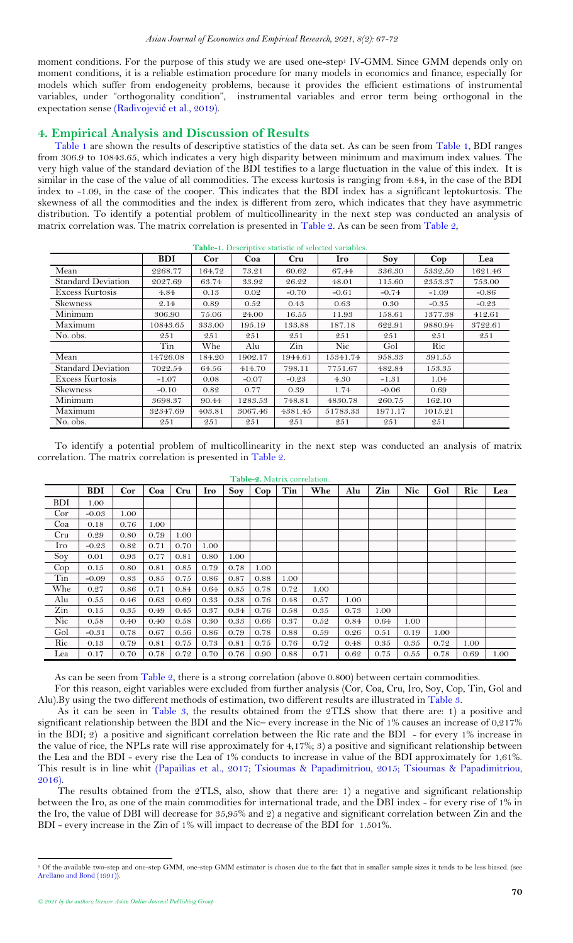<span id="page-3-3"></span>moment conditions. For the purpose of this study we are used one-step<sup>1</sup> IV-GMM. Since GMM depends only on moment conditions, it is a reliable estimation procedure for many models in economics and finance, especially for models which suffer from endogeneity problems, because it provides the efficient estimations of instrumental variables, under "orthogonality condition", instrumental variables and error term being orthogonal in the expectation sense (Radivojević [et al., 2019\)](#page-5-22).

# <span id="page-3-0"></span>**4. Empirical Analysis and Discussion of Results**

<span id="page-3-1"></span>[Table 1](#page-3-1) are shown the results of descriptive statistics of the data set. As can be seen from Table 1, BDI ranges from 306.9 to 10843.65, which indicates a very high disparity between minimum and maximum index values. The very high value of the standard deviation of the BDI testifies to a large fluctuation in the value of this index. It is similar in the case of the value of all commodities. The excess kurtosis is ranging from 4.84, in the case of the BDI index to -1.09, in the case of the cooper. This indicates that the BDI index has a significant leptokurtosis. The skewness of all the commodities and the index is different from zero, which indicates that they have asymmetric distribution. To identify a potential problem of multicollinearity in the next step was conducted an analysis of matrix correlation was. The matrix correlation is presented in [Table 2.](#page-3-2) As can be seen fro[m Table 2,](#page-3-2)

| Table-1. Descriptive statistic of selected variables. |            |            |         |         |            |         |            |         |  |
|-------------------------------------------------------|------------|------------|---------|---------|------------|---------|------------|---------|--|
|                                                       | <b>BDI</b> | <b>Cor</b> | Coa     | Cru     | <b>Iro</b> | Soy     | $\bf{Cop}$ | Lea     |  |
| Mean                                                  | 2268.77    | 164.72     | 73.21   | 60.62   | 67.44      | 336.30  | 5332.50    | 1621.46 |  |
| <b>Standard Deviation</b>                             | 2027.69    | 63.74      | 33.92   | 26.22   | 48.01      | 115.60  | 2353.37    | 753.00  |  |
| Excess Kurtosis                                       | 4.84       | 0.13       | 0.02    | $-0.70$ | $-0.61$    | $-0.74$ | $-1.09$    | $-0.86$ |  |
| <b>Skewness</b>                                       | 2.14       | 0.89       | 0.52    | 0.43    | 0.63       | 0.30    | $-0.35$    | $-0.23$ |  |
| Minimum                                               | 306.90     | 75.06      | 24.00   | 16.55   | 11.93      | 158.61  | 1377.38    | 412.61  |  |
| Maximum                                               | 10843.65   | 333.00     | 195.19  | 133.88  | 187.18     | 622.91  | 9880.94    | 3722.61 |  |
| No. obs.                                              | 251        | 251        | 251     | 251     | 251        | 251     | 251        | 251     |  |
|                                                       | Tin        | Whe        | Alu     | Zin     | Nic.       | Gol     | Ric        |         |  |
| Mean                                                  | 14726.08   | 184.20     | 1902.17 | 1944.61 | 15341.74   | 958.33  | 391.55     |         |  |
| <b>Standard Deviation</b>                             | 7022.54    | 64.56      | 414.70  | 798.11  | 7751.67    | 482.84  | 153.35     |         |  |
| Excess Kurtosis                                       | $-1.07$    | 0.08       | $-0.07$ | $-0.23$ | 4.30       | $-1.31$ | 1.04       |         |  |
| Skewness                                              | $-0.10$    | 0.82       | 0.77    | 0.39    | 1.74       | $-0.06$ | 0.69       |         |  |
| Minimum                                               | 3698.37    | 90.44      | 1283.53 | 748.81  | 4830.78    | 260.75  | 162.10     |         |  |
| Maximum                                               | 32347.69   | 403.81     | 3067.46 | 4381.45 | 51783.33   | 1971.17 | 1015.21    |         |  |
| No. obs.                                              | 251        | 251        | 251     | 251     | 251        | 251     | 251        |         |  |

To identify a potential problem of multicollinearity in the next step was conducted an analysis of matrix correlation. The matrix correlation is presented in [Table 2.](#page-3-2)

<span id="page-3-2"></span>

| 1 abie-2. Matrix correlation. |            |      |      |      |            |            |            |      |      |      |      |            |      |      |      |
|-------------------------------|------------|------|------|------|------------|------------|------------|------|------|------|------|------------|------|------|------|
|                               | <b>BDI</b> | Cor  | Coa  | Cru  | <b>Iro</b> | <b>Sov</b> | $\bf{Cop}$ | Tin  | Whe  | Alu  | Zin  | <b>Nic</b> | Gol  | Ric  | Lea  |
| <b>BDI</b>                    | 1.00       |      |      |      |            |            |            |      |      |      |      |            |      |      |      |
| Cor                           | $-0.03$    | 1.00 |      |      |            |            |            |      |      |      |      |            |      |      |      |
| Coa                           | 0.18       | 0.76 | 1.00 |      |            |            |            |      |      |      |      |            |      |      |      |
| Cru                           | 0.29       | 0.80 | 0.79 | 1.00 |            |            |            |      |      |      |      |            |      |      |      |
| Iro                           | $-0.23$    | 0.82 | 0.71 | 0.70 | 1.00       |            |            |      |      |      |      |            |      |      |      |
| Soy                           | 0.01       | 0.93 | 0.77 | 0.81 | 0.80       | 1.00       |            |      |      |      |      |            |      |      |      |
| $\mathop{\mathrm{Cop}}$       | 0.15       | 0.80 | 0.81 | 0.85 | 0.79       | 0.78       | 1.00       |      |      |      |      |            |      |      |      |
| Tin                           | $-0.09$    | 0.83 | 0.85 | 0.75 | 0.86       | 0.87       | 0.88       | 1.00 |      |      |      |            |      |      |      |
| Whe                           | 0.27       | 0.86 | 0.71 | 0.84 | 0.64       | 0.85       | 0.78       | 0.72 | 1.00 |      |      |            |      |      |      |
| Alu                           | 0.55       | 0.46 | 0.63 | 0.69 | 0.33       | 0.38       | 0.76       | 0.48 | 0.57 | 1.00 |      |            |      |      |      |
| Zin                           | 0.15       | 0.35 | 0.49 | 0.45 | 0.37       | 0.34       | 0.76       | 0.58 | 0.35 | 0.73 | 1.00 |            |      |      |      |
| Nic                           | 0.58       | 0.40 | 0.40 | 0.58 | 0.30       | 0.33       | 0.66       | 0.37 | 0.52 | 0.84 | 0.64 | 1.00       |      |      |      |
| Gol                           | $-0.31$    | 0.78 | 0.67 | 0.56 | 0.86       | 0.79       | 0.78       | 0.88 | 0.59 | 0.26 | 0.51 | 0.19       | 1.00 |      |      |
| Ric                           | 0.13       | 0.79 | 0.81 | 0.75 | 0.73       | 0.81       | 0.75       | 0.76 | 0.72 | 0.48 | 0.35 | 0.35       | 0.72 | 1.00 |      |
| Lea                           | 0.17       | 0.70 | 0.78 | 0.72 | 0.70       | 0.76       | 0.90       | 0.88 | 0.71 | 0.62 | 0.75 | 0.55       | 0.78 | 0.69 | 1.00 |

## **Table-2.** Matrix correlation*.*

As can be seen from [Table 2,](#page-3-2) there is a strong correlation (above 0.800) between certain commodities.

For this reason, eight variables were excluded from further analysis (Cor, Coa, Cru, Iro, Soy, Cop, Tin, Gol and Alu).By using the two different methods of estimation, two different results are illustrated in [Table 3.](#page-3-3)

As it can be seen in [Table 3,](#page-3-3) the results obtained from the 2TLS show that there are: 1) a positive and significant relationship between the BDI and the Nic– every increase in the Nic of 1% causes an increase of 0,217% in the BDI; 2) a positive and significant correlation between the Ric rate and the BDI - for every 1% increase in the value of rice, the NPLs rate will rise approximately for 4,17%; 3) a positive and significant relationship between the Lea and the BDI - every rise the Lea of 1% conducts to increase in value of the BDI approximately for 1,61%. This result is in line whit [\(Papailias et al., 2017;](#page-5-0) [Tsioumas & Papadimitriou, 2015;](#page-5-9) [Tsioumas & Papadimitriou,](#page-5-10)  [2016\)](#page-5-10).

The results obtained from the 2TLS, also, show that there are: 1) a negative and significant relationship between the Iro, as one of the main commodities for international trade, and the DBI index - for every rise of 1% in the Iro, the value of DBI will decrease for 35,95% and 2) a negative and significant correlation between Zin and the BDI - every increase in the Zin of 1% will impact to decrease of the BDI for 1.501%.

 $\overline{a}$ 

<sup>1</sup> Of the available two-step and one-step GMM, one-step GMM estimator is chosen due to the fact that in smaller sample sizes it tends to be less biased. (see [Arellano and Bond \(1991\)](#page-4-13)).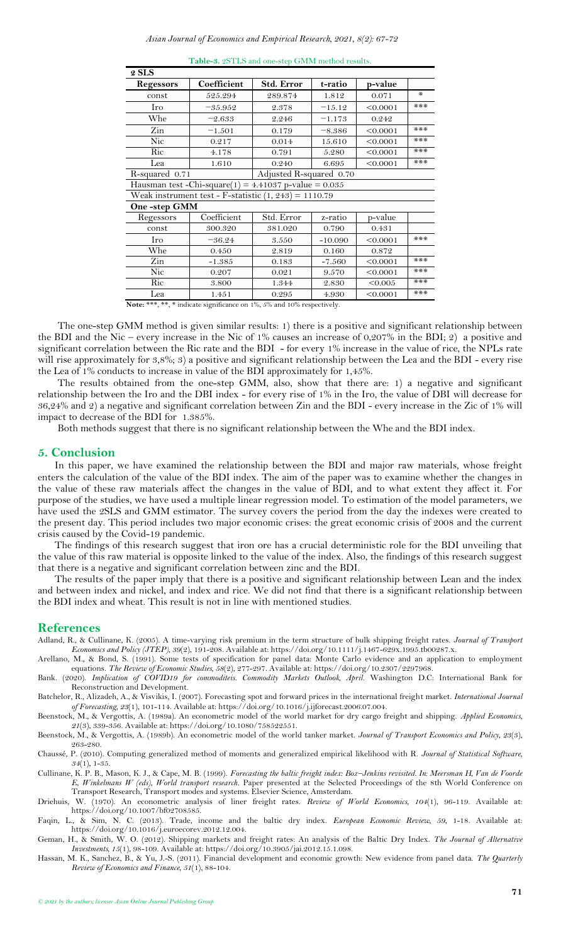| 2 SLS          |                                                         |                         |           |          |     |
|----------------|---------------------------------------------------------|-------------------------|-----------|----------|-----|
| Regessors      | Coefficient                                             | Std. Error              | t-ratio   | p-value  |     |
| const          | 525.294                                                 | 289.874                 | 1.812     | 0.071    | $*$ |
| Iro            | $-35.952$                                               | 2.378                   | $-15.12$  | < 0.0001 | *** |
| Whe            | $-2.633$                                                | 2.246                   | $-1.173$  | 0.242    |     |
| Zin            | $-1.501$                                                | 0.179                   | $-8.386$  | < 0.0001 | *** |
| Nic            | 0.217                                                   | 0.014                   | 15.610    | < 0.0001 | *** |
| Ric            | 4.178                                                   | 0.791                   | 5.280     | < 0.0001 | *** |
| Lea            | 1.610                                                   | 0.240                   | 6.695     | < 0.0001 | *** |
| R-squared 0.71 |                                                         | Adjusted R-squared 0.70 |           |          |     |
|                | Hausman test -Chi-square(1) = 4.41037 p-value = $0.035$ |                         |           |          |     |
|                | Weak instrument test - F-statistic $(1, 243) = 1110.79$ |                         |           |          |     |
| One-step GMM   |                                                         |                         |           |          |     |
| Regessors      | Coefficient                                             | Std. Error              | z-ratio   | p-value  |     |
| const          | 300.320                                                 | 381.020                 | 0.790     | 0.431    |     |
| Iro            | $-36.24$                                                | 3.550                   | $-10.090$ | < 0.0001 | *** |
| Whe            | 0.450                                                   | 2.819                   | 0.160     | 0.872    |     |
| Zin            | $-1.385$                                                | 0.183                   | $-7.560$  | < 0.0001 | *** |
| Nic            | 0.207                                                   | 0.021                   | 9.570     | < 0.0001 | *** |
| Ric            | 3.800                                                   | 1.344                   | 2.830     | < 0.005  | *** |
| Lea            | 1.451                                                   | 0.295                   | 4.930     | < 0.0001 | *** |

**Table-3.** 2STLS and one-step GMM method results.

**Note:** \*\*\*, \*\*, \* indicate significance on 1%, 5% and 10% respectively.

The one-step GMM method is given similar results: 1) there is a positive and significant relationship between the BDI and the Nic – every increase in the Nic of 1% causes an increase of 0,207% in the BDI; 2) a positive and significant correlation between the Ric rate and the BDI - for every 1% increase in the value of rice, the NPLs rate will rise approximately for 3,8%; 3) a positive and significant relationship between the Lea and the BDI - every rise the Lea of 1% conducts to increase in value of the BDI approximately for 1,45%.

The results obtained from the one-step GMM, also, show that there are: 1) a negative and significant relationship between the Iro and the DBI index - for every rise of 1% in the Iro, the value of DBI will decrease for 36,24% and 2) a negative and significant correlation between Zin and the BDI - every increase in the Zic of 1% will impact to decrease of the BDI for 1.385%.

Both methods suggest that there is no significant relationship between the Whe and the BDI index.

### <span id="page-4-0"></span>**5. Conclusion**

In this paper, we have examined the relationship between the BDI and major raw materials, whose freight enters the calculation of the value of the BDI index. The aim of the paper was to examine whether the changes in the value of these raw materials affect the changes in the value of BDI, and to what extent they affect it. For purpose of the studies, we have used a multiple linear regression model. To estimation of the model parameters, we have used the 2SLS and GMM estimator. The survey covers the period from the day the indexes were created to the present day. This period includes two major economic crises: the great economic crisis of 2008 and the current crisis caused by the Covid-19 pandemic.

The findings of this research suggest that iron ore has a crucial deterministic role for the BDI unveiling that the value of this raw material is opposite linked to the value of the index. Also, the findings of this research suggest that there is a negative and significant correlation between zinc and the BDI.

The results of the paper imply that there is a positive and significant relationship between Lean and the index and between index and nickel, and index and rice. We did not find that there is a significant relationship between the BDI index and wheat. This result is not in line with mentioned studies.

#### <span id="page-4-1"></span>**References**

<span id="page-4-10"></span>Adland, R., & Cullinane, K. (2005). A time-varying risk premium in the term structure of bulk shipping freight rates. *Journal of Transport Economics and Policy (JTEP), 39*(2), 191-208. Available at: https://doi.org/10.1111/j.1467-629x.1995.tb00287.x.

<span id="page-4-13"></span>Arellano, M., & Bond, S. (1991). Some tests of specification for panel data: Monte Carlo evidence and an application to employment equations. *The Review of Economic Studies, 58*(2), 277-297. Available at: https://doi.org/10.2307/2297968.

<span id="page-4-4"></span>Bank. (2020). *Implication of COVID19 for commoditeis. Commodity Markets Outlook, April*. Washington D.C: International Bank for Reconstruction and Development.

<span id="page-4-11"></span>Batchelor, R., Alizadeh, A., & Visvikis, I. (2007). Forecasting spot and forward prices in the international freight market. *International Journal of Forecasting, 23*(1), 101-114. Available at: https://doi.org/10.1016/j.ijforecast.2006.07.004.

<span id="page-4-6"></span>Beenstock, M., & Vergottis, A. (1989a). An econometric model of the world market for dry cargo freight and shipping. *Applied Economics, 21*(3), 339-356. Available at: https://doi.org/10.1080/758522551.

<span id="page-4-7"></span>Beenstock, M., & Vergottis, A. (1989b). An econometric model of the world tanker market. *Journal of Transport Economics and Policy, 23*(3), 263-280.

<span id="page-4-12"></span>Chaussé, P. (2010). Computing generalized method of moments and generalized empirical likelihood with R. *Journal of Statistical Software, 34*(1), 1-35.

<span id="page-4-8"></span>Cullinane, K. P. B., Mason, K. J., & Cape, M. B. (1999). *Forecasting the baltic freight index: Box–Jenkins revisited. In: Meersman H, Van de Voorde E, Winkelmans W (eds), World transport research.* Paper presented at the Selected Proceedings of the 8th World Conference on Transport Research, Transport modes and systems. Elsevier Science, Amsterdam.

<span id="page-4-5"></span>Driehuis, W. (1970). An econometric analysis of liner freight rates. *Review of World Economics, 104*(1), 96-119. Available at: https://doi.org/10.1007/bf02708585.

<span id="page-4-2"></span>Faqin, L., & Sim, N. C. (2013). Trade, income and the baltic dry index. *European Economic Review, 59*, 1-18. Available at: https://doi.org/10.1016/j.euroecorev.2012.12.004.

<span id="page-4-9"></span>Geman, H., & Smith, W. O. (2012). Shipping markets and freight rates: An analysis of the Baltic Dry Index. *The Journal of Alternative Investments, 15*(1), 98-109. Available at: https://doi.org/10.3905/jai.2012.15.1.098.

<span id="page-4-3"></span>Hassan, M. K., Sanchez, B., & Yu, J.-S. (2011). Financial development and economic growth: New evidence from panel data. *The Quarterly Review of Economics and Finance, 51*(1), 88-104.